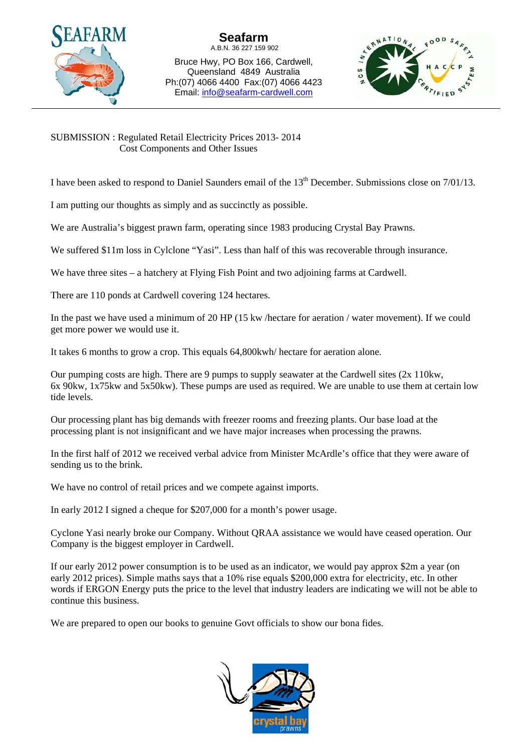

Bruce Hwy, PO Box 166, Cardwell, Queensland 4849 Australia Ph:(07) 4066 4400 Fax:(07) 4066 4423 Email: info@seafarm-cardwell.com



SUBMISSION : Regulated Retail Electricity Prices 2013- 2014 Cost Components and Other Issues

I have been asked to respond to Daniel Saunders email of the  $13<sup>th</sup>$  December. Submissions close on  $7/01/13$ .

I am putting our thoughts as simply and as succinctly as possible.

We are Australia's biggest prawn farm, operating since 1983 producing Crystal Bay Prawns.

We suffered \$11m loss in Cylclone "Yasi". Less than half of this was recoverable through insurance.

We have three sites – a hatchery at Flying Fish Point and two adjoining farms at Cardwell.

There are 110 ponds at Cardwell covering 124 hectares.

In the past we have used a minimum of 20 HP (15 kw /hectare for aeration / water movement). If we could get more power we would use it.

It takes 6 months to grow a crop. This equals 64,800kwh/ hectare for aeration alone.

Our pumping costs are high. There are 9 pumps to supply seawater at the Cardwell sites (2x 110kw, 6x 90kw, 1x75kw and 5x50kw). These pumps are used as required. We are unable to use them at certain low tide levels.

Our processing plant has big demands with freezer rooms and freezing plants. Our base load at the processing plant is not insignificant and we have major increases when processing the prawns.

In the first half of 2012 we received verbal advice from Minister McArdle's office that they were aware of sending us to the brink.

We have no control of retail prices and we compete against imports.

In early 2012 I signed a cheque for \$207,000 for a month's power usage.

Cyclone Yasi nearly broke our Company. Without QRAA assistance we would have ceased operation. Our Company is the biggest employer in Cardwell.

If our early 2012 power consumption is to be used as an indicator, we would pay approx \$2m a year (on early 2012 prices). Simple maths says that a 10% rise equals \$200,000 extra for electricity, etc. In other words if ERGON Energy puts the price to the level that industry leaders are indicating we will not be able to continue this business.

We are prepared to open our books to genuine Govt officials to show our bona fides.